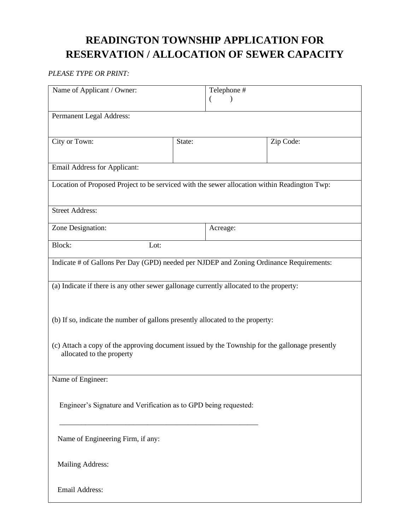# **READINGTON TOWNSHIP APPLICATION FOR RESERVATION / ALLOCATION OF SEWER CAPACITY**

*PLEASE TYPE OR PRINT:*

|                                                                                | €        | Telephone #                                                                                    |  |  |
|--------------------------------------------------------------------------------|----------|------------------------------------------------------------------------------------------------|--|--|
| Permanent Legal Address:                                                       |          |                                                                                                |  |  |
| City or Town:                                                                  | State:   | Zip Code:                                                                                      |  |  |
| <b>Email Address for Applicant:</b>                                            |          |                                                                                                |  |  |
|                                                                                |          | Location of Proposed Project to be serviced with the sewer allocation within Readington Twp:   |  |  |
| <b>Street Address:</b>                                                         |          |                                                                                                |  |  |
| Zone Designation:                                                              | Acreage: |                                                                                                |  |  |
| Block:                                                                         | Lot:     |                                                                                                |  |  |
|                                                                                |          | (a) Indicate if there is any other sewer gallonage currently allocated to the property:        |  |  |
| (b) If so, indicate the number of gallons presently allocated to the property: |          | (c) Attach a copy of the approving document issued by the Township for the gallonage presently |  |  |
| allocated to the property                                                      |          |                                                                                                |  |  |
| Name of Engineer:                                                              |          |                                                                                                |  |  |
| Engineer's Signature and Verification as to GPD being requested:               |          |                                                                                                |  |  |
| Name of Engineering Firm, if any:                                              |          |                                                                                                |  |  |
| <b>Mailing Address:</b>                                                        |          |                                                                                                |  |  |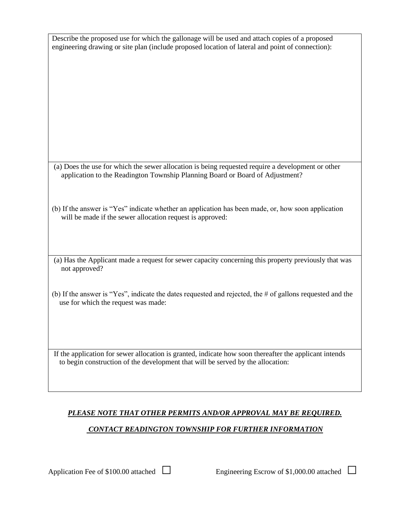| Describe the proposed use for which the gallonage will be used and attach copies of a proposed<br>engineering drawing or site plan (include proposed location of lateral and point of connection): |
|----------------------------------------------------------------------------------------------------------------------------------------------------------------------------------------------------|
|                                                                                                                                                                                                    |
|                                                                                                                                                                                                    |
|                                                                                                                                                                                                    |
|                                                                                                                                                                                                    |
| (a) Does the use for which the sewer allocation is being requested require a development or other<br>application to the Readington Township Planning Board or Board of Adjustment?                 |
| (b) If the answer is "Yes" indicate whether an application has been made, or, how soon application<br>will be made if the sewer allocation request is approved:                                    |
| (a) Has the Applicant made a request for sewer capacity concerning this property previously that was<br>not approved?                                                                              |
| (b) If the answer is "Yes", indicate the dates requested and rejected, the # of gallons requested and the<br>use for which the request was made:                                                   |
| If the application for sewer allocation is granted, indicate how soon thereafter the applicant intends<br>to begin construction of the development that will be served by the allocation:          |

#### *PLEASE NOTE THAT OTHER PERMITS AND/OR APPROVAL MAY BE REQUIRED.*

### *CONTACT READINGTON TOWNSHIP FOR FURTHER INFORMATION*